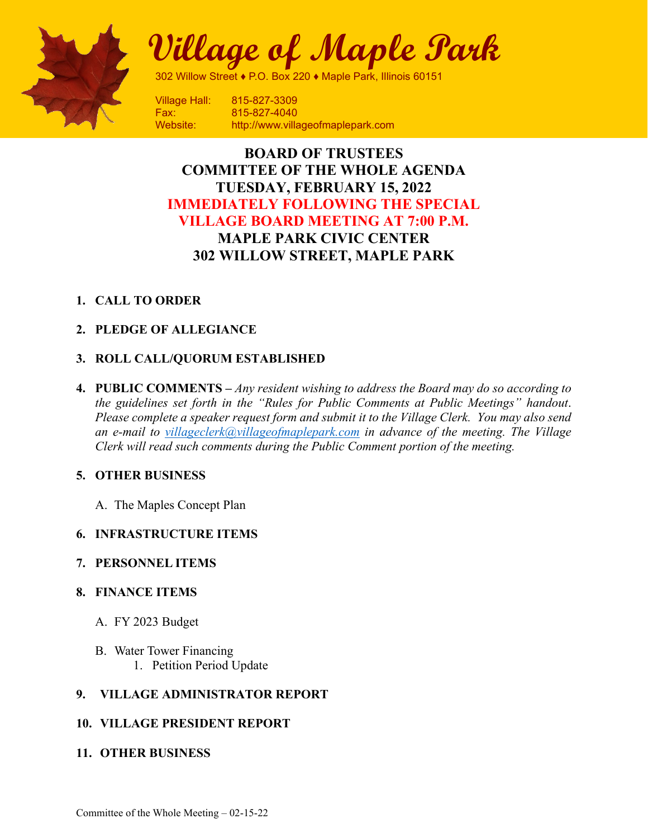

**Village of Maple Park**

302 Willow Street ♦ P.O. Box 220 ♦ Maple Park, Illinois 60151

Village Hall: 815-827-3309 Fax: 815-827-4040 Website: http://www.villageofmaplepark.com

# **BOARD OF TRUSTEES COMMITTEE OF THE WHOLE AGENDA TUESDAY, FEBRUARY 15, 2022 IMMEDIATELY FOLLOWING THE SPECIAL VILLAGE BOARD MEETING AT 7:00 P.M. MAPLE PARK CIVIC CENTER 302 WILLOW STREET, MAPLE PARK**

# **1. CALL TO ORDER**

# **2. PLEDGE OF ALLEGIANCE**

# **3. ROLL CALL/QUORUM ESTABLISHED**

**4. PUBLIC COMMENTS –** *Any resident wishing to address the Board may do so according to the guidelines set forth in the "Rules for Public Comments at Public Meetings" handout*. *Please complete a speaker request form and submit it to the Village Clerk. You may also send an e-mail to [villageclerk@villageofmaplepark.com](mailto:villageclerk@villageofmaplepark.com) in advance of the meeting. The Village Clerk will read such comments during the Public Comment portion of the meeting.*

# **5. OTHER BUSINESS**

A. The Maples Concept Plan

# **6. INFRASTRUCTURE ITEMS**

# **7. PERSONNEL ITEMS**

#### **8. FINANCE ITEMS**

- A. FY 2023 Budget
- B. Water Tower Financing
	- 1. Petition Period Update

# **9. VILLAGE ADMINISTRATOR REPORT**

# **10. VILLAGE PRESIDENT REPORT**

# **11. OTHER BUSINESS**